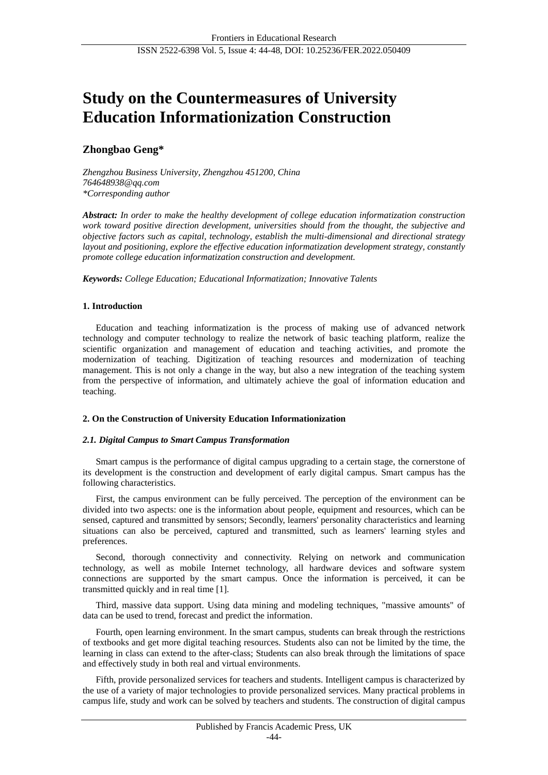# **Study on the Countermeasures of University Education Informationization Construction**

# **Zhongbao Geng\***

*Zhengzhou Business University, Zhengzhou 451200, China 764648938@qq.com \*Corresponding author*

*Abstract: In order to make the healthy development of college education informatization construction work toward positive direction development, universities should from the thought, the subjective and objective factors such as capital, technology, establish the multi-dimensional and directional strategy layout and positioning, explore the effective education informatization development strategy, constantly promote college education informatization construction and development.*

*Keywords: College Education; Educational Informatization; Innovative Talents*

# **1. Introduction**

Education and teaching informatization is the process of making use of advanced network technology and computer technology to realize the network of basic teaching platform, realize the scientific organization and management of education and teaching activities, and promote the modernization of teaching. Digitization of teaching resources and modernization of teaching management. This is not only a change in the way, but also a new integration of the teaching system from the perspective of information, and ultimately achieve the goal of information education and teaching.

## **2. On the Construction of University Education Informationization**

## *2.1. Digital Campus to Smart Campus Transformation*

Smart campus is the performance of digital campus upgrading to a certain stage, the cornerstone of its development is the construction and development of early digital campus. Smart campus has the following characteristics.

First, the campus environment can be fully perceived. The perception of the environment can be divided into two aspects: one is the information about people, equipment and resources, which can be sensed, captured and transmitted by sensors; Secondly, learners' personality characteristics and learning situations can also be perceived, captured and transmitted, such as learners' learning styles and preferences.

Second, thorough connectivity and connectivity. Relying on network and communication technology, as well as mobile Internet technology, all hardware devices and software system connections are supported by the smart campus. Once the information is perceived, it can be transmitted quickly and in real time [1].

Third, massive data support. Using data mining and modeling techniques, "massive amounts" of data can be used to trend, forecast and predict the information.

Fourth, open learning environment. In the smart campus, students can break through the restrictions of textbooks and get more digital teaching resources. Students also can not be limited by the time, the learning in class can extend to the after-class; Students can also break through the limitations of space and effectively study in both real and virtual environments.

Fifth, provide personalized services for teachers and students. Intelligent campus is characterized by the use of a variety of major technologies to provide personalized services. Many practical problems in campus life, study and work can be solved by teachers and students. The construction of digital campus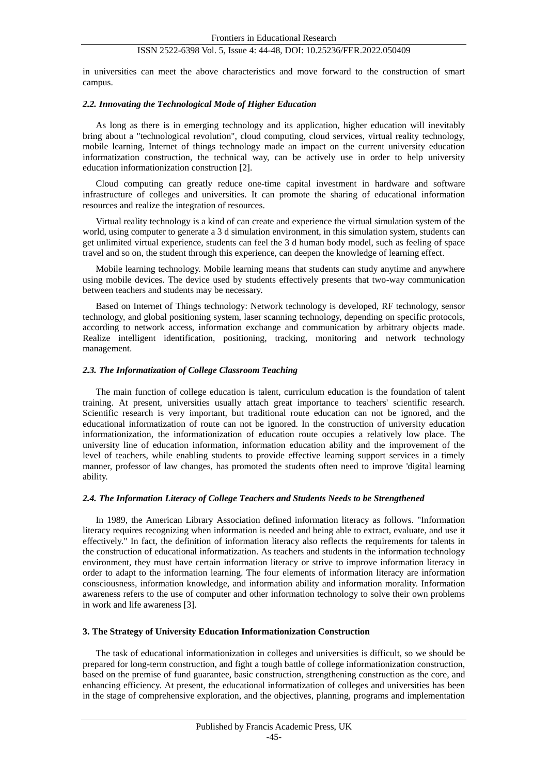in universities can meet the above characteristics and move forward to the construction of smart campus.

#### *2.2. Innovating the Technological Mode of Higher Education*

As long as there is in emerging technology and its application, higher education will inevitably bring about a "technological revolution", cloud computing, cloud services, virtual reality technology, mobile learning, Internet of things technology made an impact on the current university education informatization construction, the technical way, can be actively use in order to help university education informationization construction [2].

Cloud computing can greatly reduce one-time capital investment in hardware and software infrastructure of colleges and universities. It can promote the sharing of educational information resources and realize the integration of resources.

Virtual reality technology is a kind of can create and experience the virtual simulation system of the world, using computer to generate a 3 d simulation environment, in this simulation system, students can get unlimited virtual experience, students can feel the 3 d human body model, such as feeling of space travel and so on, the student through this experience, can deepen the knowledge of learning effect.

Mobile learning technology. Mobile learning means that students can study anytime and anywhere using mobile devices. The device used by students effectively presents that two-way communication between teachers and students may be necessary.

Based on Internet of Things technology: Network technology is developed, RF technology, sensor technology, and global positioning system, laser scanning technology, depending on specific protocols, according to network access, information exchange and communication by arbitrary objects made. Realize intelligent identification, positioning, tracking, monitoring and network technology management.

#### *2.3. The Informatization of College Classroom Teaching*

The main function of college education is talent, curriculum education is the foundation of talent training. At present, universities usually attach great importance to teachers' scientific research. Scientific research is very important, but traditional route education can not be ignored, and the educational informatization of route can not be ignored. In the construction of university education informationization, the informationization of education route occupies a relatively low place. The university line of education information, information education ability and the improvement of the level of teachers, while enabling students to provide effective learning support services in a timely manner, professor of law changes, has promoted the students often need to improve 'digital learning ability.

#### *2.4. The Information Literacy of College Teachers and Students Needs to be Strengthened*

In 1989, the American Library Association defined information literacy as follows. "Information literacy requires recognizing when information is needed and being able to extract, evaluate, and use it effectively." In fact, the definition of information literacy also reflects the requirements for talents in the construction of educational informatization. As teachers and students in the information technology environment, they must have certain information literacy or strive to improve information literacy in order to adapt to the information learning. The four elements of information literacy are information consciousness, information knowledge, and information ability and information morality. Information awareness refers to the use of computer and other information technology to solve their own problems in work and life awareness [3].

#### **3. The Strategy of University Education Informationization Construction**

The task of educational informationization in colleges and universities is difficult, so we should be prepared for long-term construction, and fight a tough battle of college informationization construction, based on the premise of fund guarantee, basic construction, strengthening construction as the core, and enhancing efficiency. At present, the educational informatization of colleges and universities has been in the stage of comprehensive exploration, and the objectives, planning, programs and implementation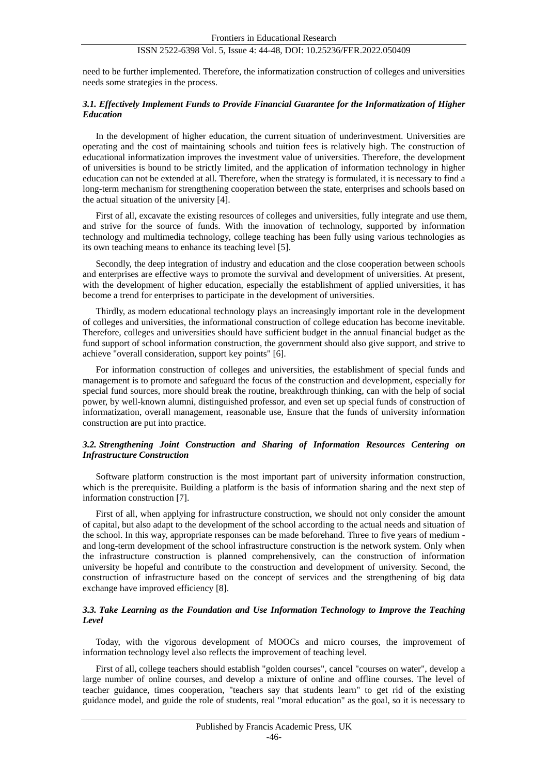need to be further implemented. Therefore, the informatization construction of colleges and universities needs some strategies in the process.

#### *3.1. Effectively Implement Funds to Provide Financial Guarantee for the Informatization of Higher Education*

In the development of higher education, the current situation of underinvestment. Universities are operating and the cost of maintaining schools and tuition fees is relatively high. The construction of educational informatization improves the investment value of universities. Therefore, the development of universities is bound to be strictly limited, and the application of information technology in higher education can not be extended at all. Therefore, when the strategy is formulated, it is necessary to find a long-term mechanism for strengthening cooperation between the state, enterprises and schools based on the actual situation of the university [4].

First of all, excavate the existing resources of colleges and universities, fully integrate and use them, and strive for the source of funds. With the innovation of technology, supported by information technology and multimedia technology, college teaching has been fully using various technologies as its own teaching means to enhance its teaching level [5].

Secondly, the deep integration of industry and education and the close cooperation between schools and enterprises are effective ways to promote the survival and development of universities. At present, with the development of higher education, especially the establishment of applied universities, it has become a trend for enterprises to participate in the development of universities.

Thirdly, as modern educational technology plays an increasingly important role in the development of colleges and universities, the informational construction of college education has become inevitable. Therefore, colleges and universities should have sufficient budget in the annual financial budget as the fund support of school information construction, the government should also give support, and strive to achieve "overall consideration, support key points" [6].

For information construction of colleges and universities, the establishment of special funds and management is to promote and safeguard the focus of the construction and development, especially for special fund sources, more should break the routine, breakthrough thinking, can with the help of social power, by well-known alumni, distinguished professor, and even set up special funds of construction of informatization, overall management, reasonable use, Ensure that the funds of university information construction are put into practice.

## *3.2. Strengthening Joint Construction and Sharing of Information Resources Centering on Infrastructure Construction*

Software platform construction is the most important part of university information construction, which is the prerequisite. Building a platform is the basis of information sharing and the next step of information construction [7].

First of all, when applying for infrastructure construction, we should not only consider the amount of capital, but also adapt to the development of the school according to the actual needs and situation of the school. In this way, appropriate responses can be made beforehand. Three to five years of medium and long-term development of the school infrastructure construction is the network system. Only when the infrastructure construction is planned comprehensively, can the construction of information university be hopeful and contribute to the construction and development of university. Second, the construction of infrastructure based on the concept of services and the strengthening of big data exchange have improved efficiency [8].

## *3.3. Take Learning as the Foundation and Use Information Technology to Improve the Teaching Level*

Today, with the vigorous development of MOOCs and micro courses, the improvement of information technology level also reflects the improvement of teaching level.

First of all, college teachers should establish "golden courses", cancel "courses on water", develop a large number of online courses, and develop a mixture of online and offline courses. The level of teacher guidance, times cooperation, "teachers say that students learn" to get rid of the existing guidance model, and guide the role of students, real "moral education" as the goal, so it is necessary to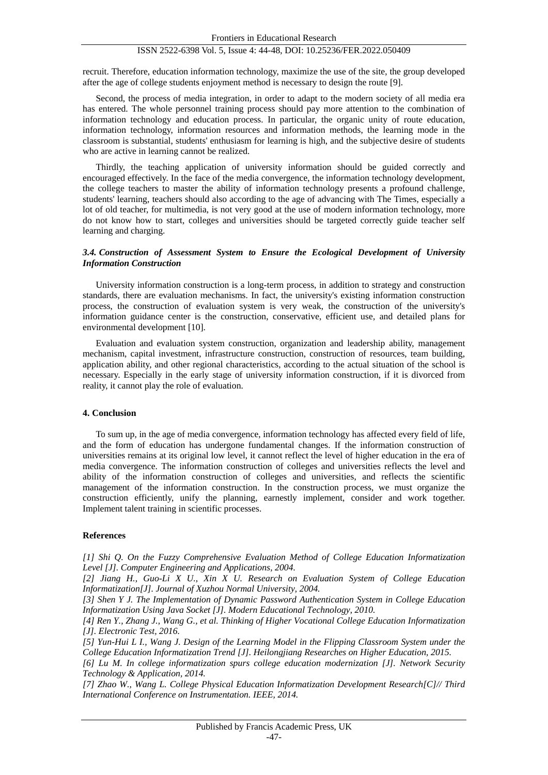recruit. Therefore, education information technology, maximize the use of the site, the group developed after the age of college students enjoyment method is necessary to design the route [9].

Second, the process of media integration, in order to adapt to the modern society of all media era has entered. The whole personnel training process should pay more attention to the combination of information technology and education process. In particular, the organic unity of route education, information technology, information resources and information methods, the learning mode in the classroom is substantial, students' enthusiasm for learning is high, and the subjective desire of students who are active in learning cannot be realized.

Thirdly, the teaching application of university information should be guided correctly and encouraged effectively. In the face of the media convergence, the information technology development, the college teachers to master the ability of information technology presents a profound challenge, students' learning, teachers should also according to the age of advancing with The Times, especially a lot of old teacher, for multimedia, is not very good at the use of modern information technology, more do not know how to start, colleges and universities should be targeted correctly guide teacher self learning and charging.

#### *3.4. Construction of Assessment System to Ensure the Ecological Development of University Information Construction*

University information construction is a long-term process, in addition to strategy and construction standards, there are evaluation mechanisms. In fact, the university's existing information construction process, the construction of evaluation system is very weak, the construction of the university's information guidance center is the construction, conservative, efficient use, and detailed plans for environmental development [10].

Evaluation and evaluation system construction, organization and leadership ability, management mechanism, capital investment, infrastructure construction, construction of resources, team building, application ability, and other regional characteristics, according to the actual situation of the school is necessary. Especially in the early stage of university information construction, if it is divorced from reality, it cannot play the role of evaluation.

#### **4. Conclusion**

To sum up, in the age of media convergence, information technology has affected every field of life, and the form of education has undergone fundamental changes. If the information construction of universities remains at its original low level, it cannot reflect the level of higher education in the era of media convergence. The information construction of colleges and universities reflects the level and ability of the information construction of colleges and universities, and reflects the scientific management of the information construction. In the construction process, we must organize the construction efficiently, unify the planning, earnestly implement, consider and work together. Implement talent training in scientific processes.

#### **References**

*[1] Shi Q. On the Fuzzy Comprehensive Evaluation Method of College Education Informatization Level [J]. Computer Engineering and Applications, 2004.*

*[2] Jiang H., Guo-Li X U., Xin X U. Research on Evaluation System of College Education Informatization[J]. Journal of Xuzhou Normal University, 2004.*

*[3] Shen Y J. The Implementation of Dynamic Password Authentication System in College Education Informatization Using Java Socket [J]. Modern Educational Technology, 2010.*

*[4] Ren Y., Zhang J., Wang G., et al. Thinking of Higher Vocational College Education Informatization [J]. Electronic Test, 2016.*

*[5] Yun-Hui L I., Wang J. Design of the Learning Model in the Flipping Classroom System under the College Education Informatization Trend [J]. Heilongjiang Researches on Higher Education, 2015.*

*[6] Lu M. In college informatization spurs college education modernization [J]. Network Security Technology & Application, 2014.*

*[7] Zhao W., Wang L. College Physical Education Informatization Development Research[C]// Third International Conference on Instrumentation. IEEE, 2014.*